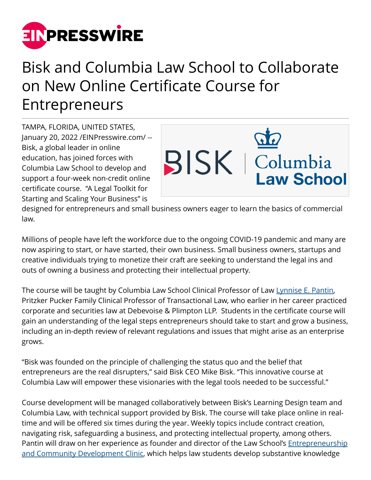

## Bisk and Columbia Law School to Collaborate on New Online Certificate Course for Entrepreneurs

TAMPA, FLORIDA, UNITED STATES, January 20, 2022 /[EINPresswire.com](http://www.einpresswire.com)/ -- Bisk, a global leader in online education, has joined forces with Columbia Law School to develop and support a four-week non-credit online certificate course. "A Legal Toolkit for Starting and Scaling Your Business" is



designed for entrepreneurs and small business owners eager to learn the basics of commercial law.

Millions of people have left the workforce due to the ongoing COVID-19 pandemic and many are now aspiring to start, or have started, their own business. Small business owners, startups and creative individuals trying to monetize their craft are seeking to understand the legal ins and outs of owning a business and protecting their intellectual property.

The course will be taught by Columbia Law School Clinical Professor of Law [Lynnise E. Pantin](https://www.law.columbia.edu/faculty/lynnise-e-pantin), Pritzker Pucker Family Clinical Professor of Transactional Law, who earlier in her career practiced corporate and securities law at Debevoise & Plimpton LLP. Students in the certificate course will gain an understanding of the legal steps entrepreneurs should take to start and grow a business, including an in-depth review of relevant regulations and issues that might arise as an enterprise grows.

"Bisk was founded on the principle of challenging the status quo and the belief that entrepreneurs are the real disrupters," said Bisk CEO Mike Bisk. "This innovative course at Columbia Law will empower these visionaries with the legal tools needed to be successful."

Course development will be managed collaboratively between Bisk's Learning Design team and Columbia Law, with technical support provided by Bisk. The course will take place online in realtime and will be offered six times during the year. Weekly topics include contract creation, navigating risk, safeguarding a business, and protecting intellectual property, among others. Pantin will draw on her experience as founder and director of the Law School's [Entrepreneurship](https://www.law.columbia.edu/academics/experiential/clinics/entrepreneurship-and-community-development-clinic) [and Community Development Clinic,](https://www.law.columbia.edu/academics/experiential/clinics/entrepreneurship-and-community-development-clinic) which helps law students develop substantive knowledge